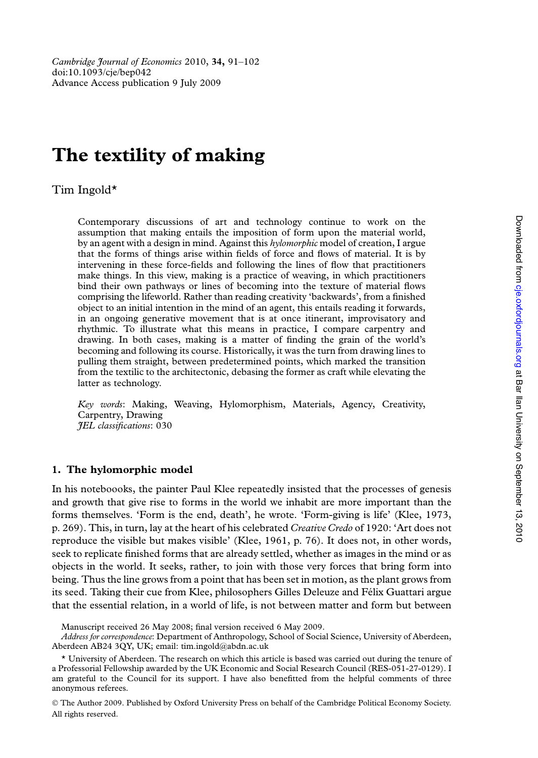# The textility of making

Tim Ingold\*

Contemporary discussions of art and technology continue to work on the assumption that making entails the imposition of form upon the material world, by an agent with a design in mind. Against this hylomorphic model of creation, I argue that the forms of things arise within fields of force and flows of material. It is by intervening in these force-fields and following the lines of flow that practitioners make things. In this view, making is a practice of weaving, in which practitioners bind their own pathways or lines of becoming into the texture of material flows comprising the lifeworld. Rather than reading creativity 'backwards', from a finished object to an initial intention in the mind of an agent, this entails reading it forwards, in an ongoing generative movement that is at once itinerant, improvisatory and rhythmic. To illustrate what this means in practice, I compare carpentry and drawing. In both cases, making is a matter of finding the grain of the world's becoming and following its course. Historically, it was the turn from drawing lines to pulling them straight, between predetermined points, which marked the transition from the textilic to the architectonic, debasing the former as craft while elevating the latter as technology.

Key words: Making, Weaving, Hylomorphism, Materials, Agency, Creativity, Carpentry, Drawing JEL classifications: 030

#### 1. The hylomorphic model

In his noteboooks, the painter Paul Klee repeatedly insisted that the processes of genesis and growth that give rise to forms in the world we inhabit are more important than the forms themselves. 'Form is the end, death', he wrote. 'Form-giving is life' (Klee, 1973, p. 269). This, in turn, lay at the heart of his celebrated Creative Credo of 1920: 'Art does not reproduce the visible but makes visible' (Klee, 1961, p. 76). It does not, in other words, seek to replicate finished forms that are already settled, whether as images in the mind or as objects in the world. It seeks, rather, to join with those very forces that bring form into being. Thus the line grows from a point that has been set in motion, as the plant grows from its seed. Taking their cue from Klee, philosophers Gilles Deleuze and Félix Guattari argue that the essential relation, in a world of life, is not between matter and form but between

Manuscript received 26 May 2008; final version received 6 May 2009.

Address for correspondence: Department of Anthropology, School of Social Science, University of Aberdeen, Aberdeen AB24 3QY, UK; email: tim.ingold@abdn.ac.uk

! The Author 2009. Published by Oxford University Press on behalf of the Cambridge Political Economy Society. All rights reserved.

<sup>\*</sup> University of Aberdeen. The research on which this article is based was carried out during the tenure of a Professorial Fellowship awarded by the UK Economic and Social Research Council (RES-051-27-0129). I am grateful to the Council for its support. I have also benefitted from the helpful comments of three anonymous referees.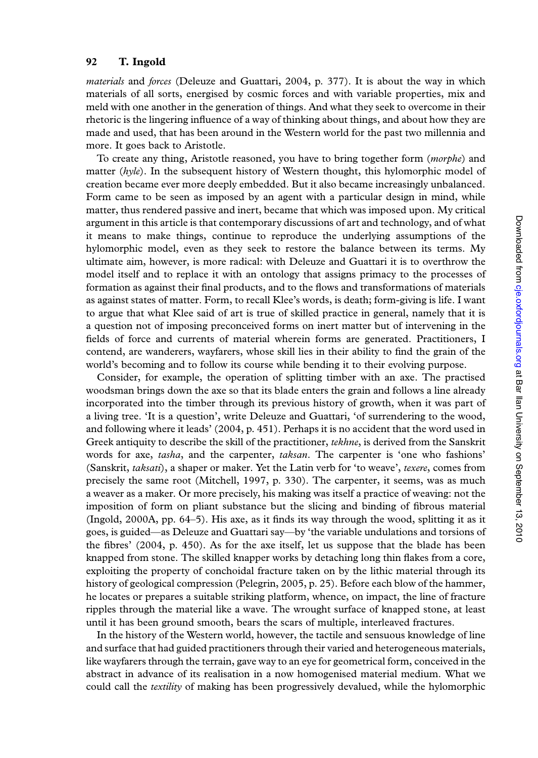materials and forces (Deleuze and Guattari, 2004, p. 377). It is about the way in which materials of all sorts, energised by cosmic forces and with variable properties, mix and meld with one another in the generation of things. And what they seek to overcome in their rhetoric is the lingering influence of a way of thinking about things, and about how they are made and used, that has been around in the Western world for the past two millennia and more. It goes back to Aristotle.

To create any thing, Aristotle reasoned, you have to bring together form (morphe) and matter  $(hyle)$ . In the subsequent history of Western thought, this hylomorphic model of creation became ever more deeply embedded. But it also became increasingly unbalanced. Form came to be seen as imposed by an agent with a particular design in mind, while matter, thus rendered passive and inert, became that which was imposed upon. My critical argument in this article is that contemporary discussions of art and technology, and of what it means to make things, continue to reproduce the underlying assumptions of the hylomorphic model, even as they seek to restore the balance between its terms. My ultimate aim, however, is more radical: with Deleuze and Guattari it is to overthrow the model itself and to replace it with an ontology that assigns primacy to the processes of formation as against their final products, and to the flows and transformations of materials as against states of matter. Form, to recall Klee's words, is death; form-giving is life. I want to argue that what Klee said of art is true of skilled practice in general, namely that it is a question not of imposing preconceived forms on inert matter but of intervening in the fields of force and currents of material wherein forms are generated. Practitioners, I contend, are wanderers, wayfarers, whose skill lies in their ability to find the grain of the world's becoming and to follow its course while bending it to their evolving purpose.

Consider, for example, the operation of splitting timber with an axe. The practised woodsman brings down the axe so that its blade enters the grain and follows a line already incorporated into the timber through its previous history of growth, when it was part of a living tree. 'It is a question', write Deleuze and Guattari, 'of surrendering to the wood, and following where it leads' (2004, p. 451). Perhaps it is no accident that the word used in Greek antiquity to describe the skill of the practitioner, tekhne, is derived from the Sanskrit words for axe, tasha, and the carpenter, taksan. The carpenter is 'one who fashions' (Sanskrit, taksati), a shaper or maker. Yet the Latin verb for 'to weave', texere, comes from precisely the same root (Mitchell, 1997, p. 330). The carpenter, it seems, was as much a weaver as a maker. Or more precisely, his making was itself a practice of weaving: not the imposition of form on pliant substance but the slicing and binding of fibrous material (Ingold, 2000A, pp. 64–5). His axe, as it finds its way through the wood, splitting it as it goes, is guided—as Deleuze and Guattari say—by 'the variable undulations and torsions of the fibres' (2004, p. 450). As for the axe itself, let us suppose that the blade has been knapped from stone. The skilled knapper works by detaching long thin flakes from a core, exploiting the property of conchoidal fracture taken on by the lithic material through its history of geological compression (Pelegrin, 2005, p. 25). Before each blow of the hammer, he locates or prepares a suitable striking platform, whence, on impact, the line of fracture ripples through the material like a wave. The wrought surface of knapped stone, at least until it has been ground smooth, bears the scars of multiple, interleaved fractures.

In the history of the Western world, however, the tactile and sensuous knowledge of line and surface that had guided practitioners through their varied and heterogeneous materials, like wayfarers through the terrain, gave way to an eye for geometrical form, conceived in the abstract in advance of its realisation in a now homogenised material medium. What we could call the *textility* of making has been progressively devalued, while the hylomorphic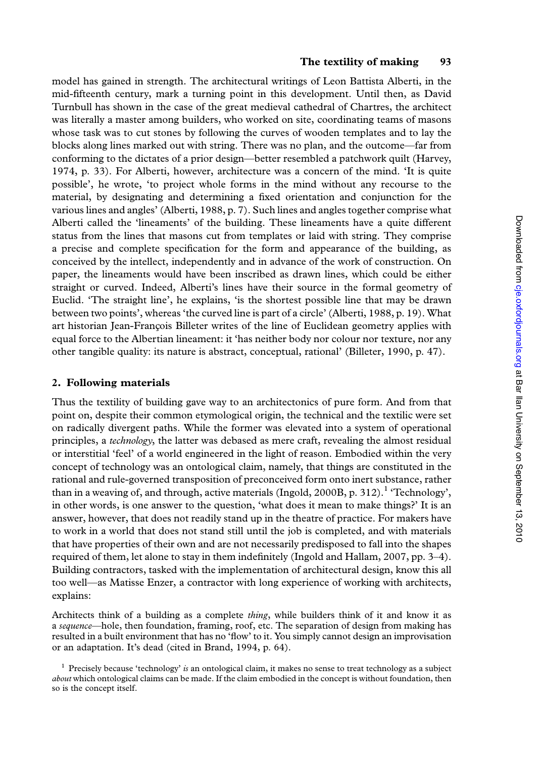#### The textility of making 93

model has gained in strength. The architectural writings of Leon Battista Alberti, in the mid-fifteenth century, mark a turning point in this development. Until then, as David Turnbull has shown in the case of the great medieval cathedral of Chartres, the architect was literally a master among builders, who worked on site, coordinating teams of masons whose task was to cut stones by following the curves of wooden templates and to lay the blocks along lines marked out with string. There was no plan, and the outcome—far from conforming to the dictates of a prior design—better resembled a patchwork quilt (Harvey, 1974, p. 33). For Alberti, however, architecture was a concern of the mind. 'It is quite possible', he wrote, 'to project whole forms in the mind without any recourse to the material, by designating and determining a fixed orientation and conjunction for the various lines and angles' (Alberti, 1988, p. 7). Such lines and angles together comprise what Alberti called the 'lineaments' of the building. These lineaments have a quite different status from the lines that masons cut from templates or laid with string. They comprise a precise and complete specification for the form and appearance of the building, as conceived by the intellect, independently and in advance of the work of construction. On paper, the lineaments would have been inscribed as drawn lines, which could be either straight or curved. Indeed, Alberti's lines have their source in the formal geometry of Euclid. 'The straight line', he explains, 'is the shortest possible line that may be drawn between two points', whereas 'the curved line is part of a circle' (Alberti, 1988, p. 19). What art historian Jean-François Billeter writes of the line of Euclidean geometry applies with equal force to the Albertian lineament: it 'has neither body nor colour nor texture, nor any other tangible quality: its nature is abstract, conceptual, rational' (Billeter, 1990, p. 47).

#### 2. Following materials

Thus the textility of building gave way to an architectonics of pure form. And from that point on, despite their common etymological origin, the technical and the textilic were set on radically divergent paths. While the former was elevated into a system of operational principles, a technology, the latter was debased as mere craft, revealing the almost residual or interstitial 'feel' of a world engineered in the light of reason. Embodied within the very concept of technology was an ontological claim, namely, that things are constituted in the rational and rule-governed transposition of preconceived form onto inert substance, rather than in a weaving of, and through, active materials (Ingold, 2000B, p. 312).<sup>1</sup> 'Technology', in other words, is one answer to the question, 'what does it mean to make things?' It is an answer, however, that does not readily stand up in the theatre of practice. For makers have to work in a world that does not stand still until the job is completed, and with materials that have properties of their own and are not necessarily predisposed to fall into the shapes required of them, let alone to stay in them indefinitely (Ingold and Hallam, 2007, pp. 3–4). Building contractors, tasked with the implementation of architectural design, know this all too well—as Matisse Enzer, a contractor with long experience of working with architects, explains:

Architects think of a building as a complete *thing*, while builders think of it and know it as a sequence—hole, then foundation, framing, roof, etc. The separation of design from making has resulted in a built environment that has no 'flow' to it. You simply cannot design an improvisation or an adaptation. It's dead (cited in Brand, 1994, p. 64).

<sup>&</sup>lt;sup>1</sup> Precisely because 'technology' *is* an ontological claim, it makes no sense to treat technology as a subject about which ontological claims can be made. If the claim embodied in the concept is without foundation, then so is the concept itself.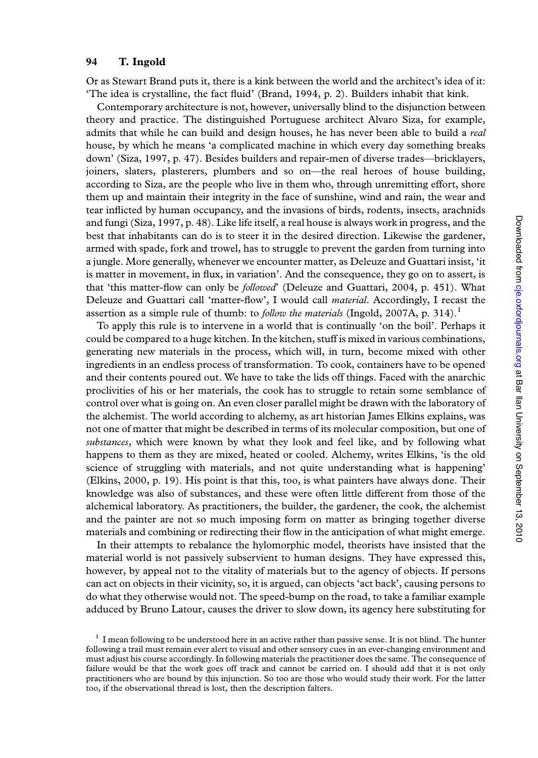Or as Stewart Brand puts it, there is a kink between the world and the architect's idea of it: 'The idea is crystalline, the fact fluid' (Brand, 1994, p. 2). Builders inhabit that kink.

Contemporary architecture is not, however, universally blind to the disjunction between theory and practice. The distinguished Portuguese architect Alvaro Siza, for example, admits that while he can build and design houses, he has never been able to build a *real* house, by which he means 'a complicated machine in which every day something breaks down' (Siza, 1997, p. 47). Besides builders and repair-men of diverse trades—bricklayers, joiners, slaters, plasterers, plumbers and so on—the real heroes of house building, according to Siza, are the people who live in them who, through unremitting effort, shore them up and maintain their integrity in the face of sunshine, wind and rain, the wear and tear inflicted by human occupancy, and the invasions of birds, rodents, insects, arachnids and fungi (Siza, 1997, p. 48). Like life itself, a real house is always work in progress, and the best that inhabitants can do is to steer it in the desired direction. Likewise the gardener, armed with spade, fork and trowel, has to struggle to prevent the garden from turning into a jungle. More generally, whenever we encounter matter, as Deleuze and Guattari insist, 'it is matter in movement, in flux, in variation'. And the consequence, they go on to assert, is that 'this matter-flow can only be followed' (Deleuze and Guattari, 2004, p. 451). What Deleuze and Guattari call 'matter-flow', I would call material. Accordingly, I recast the assertion as a simple rule of thumb: to *follow the materials* (Ingold, 2007A, p. 314).<sup>1</sup>

To apply this rule is to intervene in a world that is continually 'on the boil'. Perhaps it could be compared to a huge kitchen. In the kitchen, stuff is mixed in various combinations, generating new materials in the process, which will, in turn, become mixed with other ingredients in an endless process of transformation. To cook, containers have to be opened and their contents poured out. We have to take the lids off things. Faced with the anarchic proclivities of his or her materials, the cook has to struggle to retain some semblance of control over what is going on. An even closer parallel might be drawn with the laboratory of the alchemist. The world according to alchemy, as art historian James Elkins explains, was not one of matter that might be described in terms of its molecular composition, but one of substances, which were known by what they look and feel like, and by following what happens to them as they are mixed, heated or cooled. Alchemy, writes Elkins, 'is the old science of struggling with materials, and not quite understanding what is happening' (Elkins, 2000, p. 19). His point is that this, too, is what painters have always done. Their knowledge was also of substances, and these were often little different from those of the alchemical laboratory. As practitioners, the builder, the gardener, the cook, the alchemist and the painter are not so much imposing form on matter as bringing together diverse materials and combining or redirecting their flow in the anticipation of what might emerge.

In their attempts to rebalance the hylomorphic model, theorists have insisted that the material world is not passively subservient to human designs. They have expressed this, however, by appeal not to the vitality of materials but to the agency of objects. If persons can act on objects in their vicinity, so, it is argued, can objects 'act back', causing persons to do what they otherwise would not. The speed-bump on the road, to take a familiar example adduced by Bruno Latour, causes the driver to slow down, its agency here substituting for

 $<sup>1</sup>$  I mean following to be understood here in an active rather than passive sense. It is not blind. The hunter</sup> following a trail must remain ever alert to visual and other sensory cues in an ever-changing environment and must adjust his course accordingly. In following materials the practitioner does the same. The consequence of failure would be that the work goes off track and cannot be carried on. I should add that it is not only practitioners who are bound by this injunction. So too are those who would study their work. For the latter too, if the observational thread is lost, then the description falters.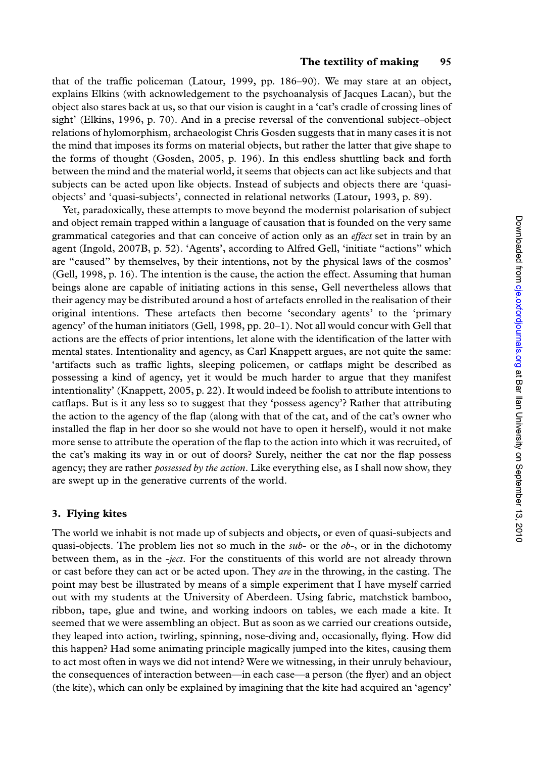that of the traffic policeman (Latour, 1999, pp. 186–90). We may stare at an object, explains Elkins (with acknowledgement to the psychoanalysis of Jacques Lacan), but the object also stares back at us, so that our vision is caught in a 'cat's cradle of crossing lines of sight' (Elkins, 1996, p. 70). And in a precise reversal of the conventional subject–object relations of hylomorphism, archaeologist Chris Gosden suggests that in many cases it is not the mind that imposes its forms on material objects, but rather the latter that give shape to the forms of thought (Gosden, 2005, p. 196). In this endless shuttling back and forth between the mind and the material world, it seems that objects can act like subjects and that subjects can be acted upon like objects. Instead of subjects and objects there are 'quasiobjects' and 'quasi-subjects', connected in relational networks (Latour, 1993, p. 89).

Yet, paradoxically, these attempts to move beyond the modernist polarisation of subject and object remain trapped within a language of causation that is founded on the very same grammatical categories and that can conceive of action only as an *effect* set in train by an agent (Ingold, 2007B, p. 52). 'Agents', according to Alfred Gell, 'initiate "actions" which are ''caused'' by themselves, by their intentions, not by the physical laws of the cosmos' (Gell, 1998, p. 16). The intention is the cause, the action the effect. Assuming that human beings alone are capable of initiating actions in this sense, Gell nevertheless allows that their agency may be distributed around a host of artefacts enrolled in the realisation of their original intentions. These artefacts then become 'secondary agents' to the 'primary agency' of the human initiators (Gell, 1998, pp. 20–1). Not all would concur with Gell that actions are the effects of prior intentions, let alone with the identification of the latter with mental states. Intentionality and agency, as Carl Knappett argues, are not quite the same: 'artifacts such as traffic lights, sleeping policemen, or catflaps might be described as possessing a kind of agency, yet it would be much harder to argue that they manifest intentionality' (Knappett, 2005, p. 22). It would indeed be foolish to attribute intentions to catflaps. But is it any less so to suggest that they 'possess agency'? Rather that attributing the action to the agency of the flap (along with that of the cat, and of the cat's owner who installed the flap in her door so she would not have to open it herself), would it not make more sense to attribute the operation of the flap to the action into which it was recruited, of the cat's making its way in or out of doors? Surely, neither the cat nor the flap possess agency; they are rather *possessed by the action*. Like everything else, as I shall now show, they are swept up in the generative currents of the world.

#### 3. Flying kites

The world we inhabit is not made up of subjects and objects, or even of quasi-subjects and quasi-objects. The problem lies not so much in the  $sub-$  or the  $ob-$ , or in the dichotomy between them, as in the -ject. For the constituents of this world are not already thrown or cast before they can act or be acted upon. They are in the throwing, in the casting. The point may best be illustrated by means of a simple experiment that I have myself carried out with my students at the University of Aberdeen. Using fabric, matchstick bamboo, ribbon, tape, glue and twine, and working indoors on tables, we each made a kite. It seemed that we were assembling an object. But as soon as we carried our creations outside, they leaped into action, twirling, spinning, nose-diving and, occasionally, flying. How did this happen? Had some animating principle magically jumped into the kites, causing them to act most often in ways we did not intend? Were we witnessing, in their unruly behaviour, the consequences of interaction between—in each case—a person (the flyer) and an object (the kite), which can only be explained by imagining that the kite had acquired an 'agency'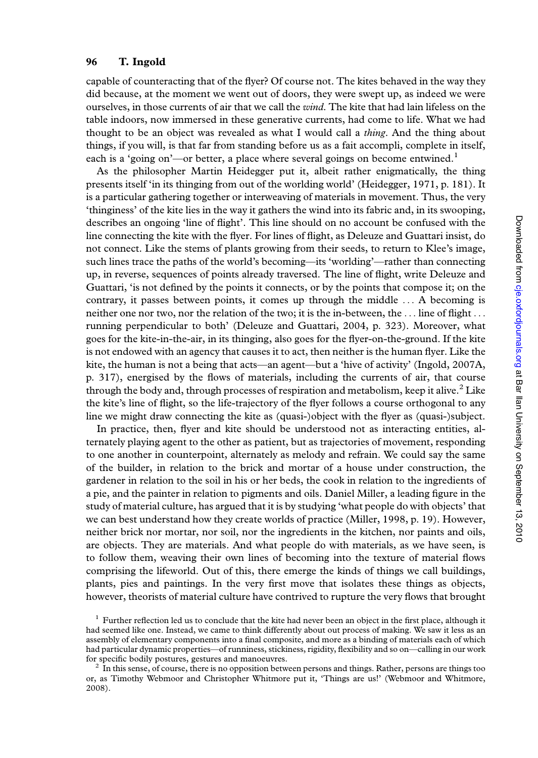capable of counteracting that of the flyer? Of course not. The kites behaved in the way they did because, at the moment we went out of doors, they were swept up, as indeed we were ourselves, in those currents of air that we call the wind. The kite that had lain lifeless on the table indoors, now immersed in these generative currents, had come to life. What we had thought to be an object was revealed as what I would call a *thing*. And the thing about things, if you will, is that far from standing before us as a fait accompli, complete in itself, each is a 'going on'—or better, a place where several goings on become entwined.<sup>1</sup>

As the philosopher Martin Heidegger put it, albeit rather enigmatically, the thing presents itself 'in its thinging from out of the worlding world' (Heidegger, 1971, p. 181). It is a particular gathering together or interweaving of materials in movement. Thus, the very 'thinginess' of the kite lies in the way it gathers the wind into its fabric and, in its swooping, describes an ongoing 'line of flight'. This line should on no account be confused with the line connecting the kite with the flyer. For lines of flight, as Deleuze and Guattari insist, do not connect. Like the stems of plants growing from their seeds, to return to Klee's image, such lines trace the paths of the world's becoming—its 'worlding'—rather than connecting up, in reverse, sequences of points already traversed. The line of flight, write Deleuze and Guattari, 'is not defined by the points it connects, or by the points that compose it; on the contrary, it passes between points, it comes up through the middle ... A becoming is neither one nor two, nor the relation of the two; it is the in-between, the ... line of flight ... running perpendicular to both' (Deleuze and Guattari, 2004, p. 323). Moreover, what goes for the kite-in-the-air, in its thinging, also goes for the flyer-on-the-ground. If the kite is not endowed with an agency that causes it to act, then neither is the human flyer. Like the kite, the human is not a being that acts—an agent—but a 'hive of activity' (Ingold, 2007A, p. 317), energised by the flows of materials, including the currents of air, that course through the body and, through processes of respiration and metabolism, keep it alive.<sup>2</sup> Like the kite's line of flight, so the life-trajectory of the flyer follows a course orthogonal to any line we might draw connecting the kite as (quasi-)object with the flyer as (quasi-)subject.

In practice, then, flyer and kite should be understood not as interacting entities, alternately playing agent to the other as patient, but as trajectories of movement, responding to one another in counterpoint, alternately as melody and refrain. We could say the same of the builder, in relation to the brick and mortar of a house under construction, the gardener in relation to the soil in his or her beds, the cook in relation to the ingredients of a pie, and the painter in relation to pigments and oils. Daniel Miller, a leading figure in the study of material culture, has argued that it is by studying 'what people do with objects' that we can best understand how they create worlds of practice (Miller, 1998, p. 19). However, neither brick nor mortar, nor soil, nor the ingredients in the kitchen, nor paints and oils, are objects. They are materials. And what people do with materials, as we have seen, is to follow them, weaving their own lines of becoming into the texture of material flows comprising the lifeworld. Out of this, there emerge the kinds of things we call buildings, plants, pies and paintings. In the very first move that isolates these things as objects, however, theorists of material culture have contrived to rupture the very flows that brought

 $1$  Further reflection led us to conclude that the kite had never been an object in the first place, although it had seemed like one. Instead, we came to think differently about out process of making. We saw it less as an assembly of elementary components into a final composite, and more as a binding of materials each of which had particular dynamic properties—of runniness, stickiness, rigidity, flexibility and so on—calling in our work for specific bodily postures, gestures and manoeuvres.<br><sup>2</sup> In this sense, of course, there is no opposition between persons and things. Rather, persons are things too

or, as Timothy Webmoor and Christopher Whitmore put it, 'Things are us!' (Webmoor and Whitmore, 2008).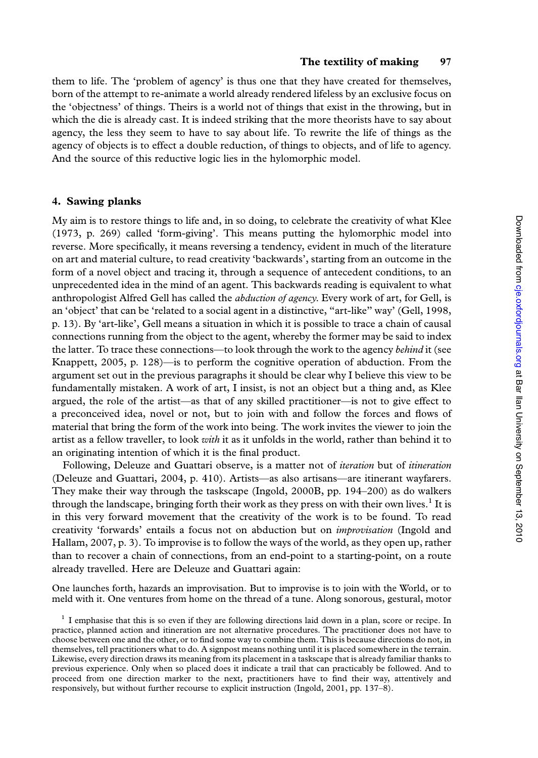them to life. The 'problem of agency' is thus one that they have created for themselves, born of the attempt to re-animate a world already rendered lifeless by an exclusive focus on the 'objectness' of things. Theirs is a world not of things that exist in the throwing, but in which the die is already cast. It is indeed striking that the more theorists have to say about agency, the less they seem to have to say about life. To rewrite the life of things as the agency of objects is to effect a double reduction, of things to objects, and of life to agency. And the source of this reductive logic lies in the hylomorphic model.

#### 4. Sawing planks

My aim is to restore things to life and, in so doing, to celebrate the creativity of what Klee (1973, p. 269) called 'form-giving'. This means putting the hylomorphic model into reverse. More specifically, it means reversing a tendency, evident in much of the literature on art and material culture, to read creativity 'backwards', starting from an outcome in the form of a novel object and tracing it, through a sequence of antecedent conditions, to an unprecedented idea in the mind of an agent. This backwards reading is equivalent to what anthropologist Alfred Gell has called the *abduction of agency*. Every work of art, for Gell, is an 'object' that can be 'related to a social agent in a distinctive, "art-like" way' (Gell, 1998, p. 13). By 'art-like', Gell means a situation in which it is possible to trace a chain of causal connections running from the object to the agent, whereby the former may be said to index the latter. To trace these connections—to look through the work to the agency *behind* it (see Knappett, 2005, p. 128)—is to perform the cognitive operation of abduction. From the argument set out in the previous paragraphs it should be clear why I believe this view to be fundamentally mistaken. A work of art, I insist, is not an object but a thing and, as Klee argued, the role of the artist—as that of any skilled practitioner—is not to give effect to a preconceived idea, novel or not, but to join with and follow the forces and flows of material that bring the form of the work into being. The work invites the viewer to join the artist as a fellow traveller, to look with it as it unfolds in the world, rather than behind it to an originating intention of which it is the final product.

Following, Deleuze and Guattari observe, is a matter not of *iteration* but of *itineration* (Deleuze and Guattari, 2004, p. 410). Artists—as also artisans—are itinerant wayfarers. They make their way through the taskscape (Ingold, 2000B, pp. 194–200) as do walkers through the landscape, bringing forth their work as they press on with their own lives.<sup>1</sup> It is in this very forward movement that the creativity of the work is to be found. To read creativity 'forwards' entails a focus not on abduction but on improvisation (Ingold and Hallam, 2007, p. 3). To improvise is to follow the ways of the world, as they open up, rather than to recover a chain of connections, from an end-point to a starting-point, on a route already travelled. Here are Deleuze and Guattari again:

One launches forth, hazards an improvisation. But to improvise is to join with the World, or to meld with it. One ventures from home on the thread of a tune. Along sonorous, gestural, motor

<sup>&</sup>lt;sup>1</sup> I emphasise that this is so even if they are following directions laid down in a plan, score or recipe. In practice, planned action and itineration are not alternative procedures. The practitioner does not have to choose between one and the other, or to find some way to combine them. This is because directions do not, in themselves, tell practitioners what to do. A signpost means nothing until it is placed somewhere in the terrain. Likewise, every direction draws its meaning from its placement in a taskscape that is already familiar thanks to previous experience. Only when so placed does it indicate a trail that can practicably be followed. And to proceed from one direction marker to the next, practitioners have to find their way, attentively and responsively, but without further recourse to explicit instruction (Ingold, 2001, pp. 137–8).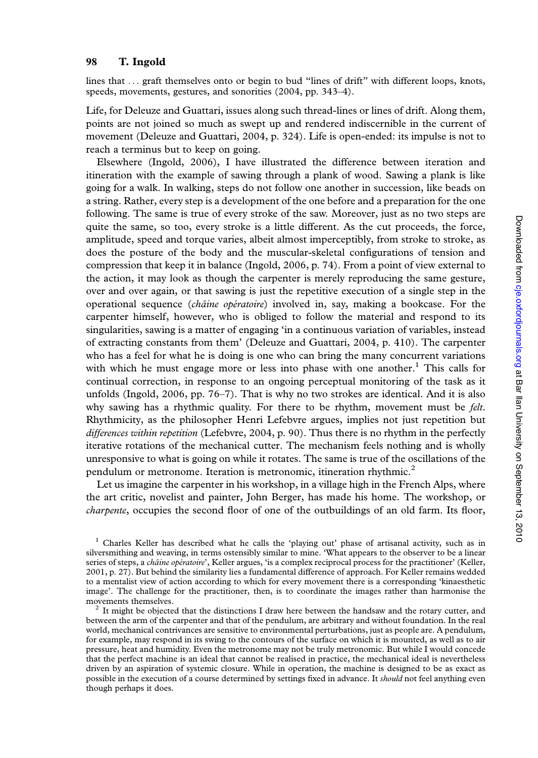lines that ... graft themselves onto or begin to bud ''lines of drift'' with different loops, knots, speeds, movements, gestures, and sonorities (2004, pp. 343–4).

Life, for Deleuze and Guattari, issues along such thread-lines or lines of drift. Along them, points are not joined so much as swept up and rendered indiscernible in the current of movement (Deleuze and Guattari, 2004, p. 324). Life is open-ended: its impulse is not to reach a terminus but to keep on going.

Elsewhere (Ingold, 2006), I have illustrated the difference between iteration and itineration with the example of sawing through a plank of wood. Sawing a plank is like going for a walk. In walking, steps do not follow one another in succession, like beads on a string. Rather, every step is a development of the one before and a preparation for the one following. The same is true of every stroke of the saw. Moreover, just as no two steps are quite the same, so too, every stroke is a little different. As the cut proceeds, the force, amplitude, speed and torque varies, albeit almost imperceptibly, from stroke to stroke, as does the posture of the body and the muscular-skeletal configurations of tension and compression that keep it in balance (Ingold, 2006, p. 74). From a point of view external to the action, it may look as though the carpenter is merely reproducing the same gesture, over and over again, or that sawing is just the repetitive execution of a single step in the operational sequence (châine opératoire) involved in, say, making a bookcase. For the carpenter himself, however, who is obliged to follow the material and respond to its singularities, sawing is a matter of engaging 'in a continuous variation of variables, instead of extracting constants from them' (Deleuze and Guattari, 2004, p. 410). The carpenter who has a feel for what he is doing is one who can bring the many concurrent variations with which he must engage more or less into phase with one another.<sup>1</sup> This calls for continual correction, in response to an ongoing perceptual monitoring of the task as it unfolds (Ingold, 2006, pp. 76–7). That is why no two strokes are identical. And it is also why sawing has a rhythmic quality. For there to be rhythm, movement must be *felt*. Rhythmicity, as the philosopher Henri Lefebvre argues, implies not just repetition but differences within repetition (Lefebvre, 2004, p. 90). Thus there is no rhythm in the perfectly iterative rotations of the mechanical cutter. The mechanism feels nothing and is wholly unresponsive to what is going on while it rotates. The same is true of the oscillations of the pendulum or metronome. Iteration is metronomic, itineration rhythmic. $<sup>2</sup>$ </sup>

Let us imagine the carpenter in his workshop, in a village high in the French Alps, where the art critic, novelist and painter, John Berger, has made his home. The workshop, or charpente, occupies the second floor of one of the outbuildings of an old farm. Its floor,

<sup>1</sup> Charles Keller has described what he calls the 'playing out' phase of artisanal activity, such as in silversmithing and weaving, in terms ostensibly similar to mine. 'What appears to the observer to be a linear series of steps, a *châine opératoire'*, Keller argues, 'is a complex reciprocal process for the practitioner' (Keller, 2001, p. 27). But behind the similarity lies a fundamental difference of approach. For Keller remains wedded to a mentalist view of action according to which for every movement there is a corresponding 'kinaesthetic image'. The challenge for the practitioner, then, is to coordinate the images rather than harmonise the

movements themselves.<br><sup>2</sup> It might be objected that the distinctions I draw here between the handsaw and the rotary cutter, and between the arm of the carpenter and that of the pendulum, are arbitrary and without foundation. In the real world, mechanical contrivances are sensitive to environmental perturbations, just as people are. A pendulum, for example, may respond in its swing to the contours of the surface on which it is mounted, as well as to air pressure, heat and humidity. Even the metronome may not be truly metronomic. But while I would concede that the perfect machine is an ideal that cannot be realised in practice, the mechanical ideal is nevertheless driven by an aspiration of systemic closure. While in operation, the machine is designed to be as exact as possible in the execution of a course determined by settings fixed in advance. It *should* not feel anything even though perhaps it does.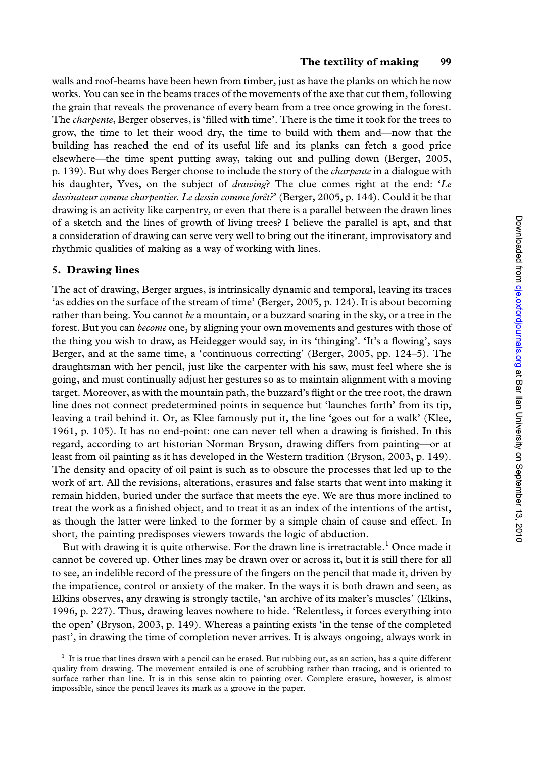#### The textility of making 99

walls and roof-beams have been hewn from timber, just as have the planks on which he now works. You can see in the beams traces of the movements of the axe that cut them, following the grain that reveals the provenance of every beam from a tree once growing in the forest. The *charpente*, Berger observes, is 'filled with time'. There is the time it took for the trees to grow, the time to let their wood dry, the time to build with them and—now that the building has reached the end of its useful life and its planks can fetch a good price elsewhere—the time spent putting away, taking out and pulling down (Berger, 2005, p. 139). But why does Berger choose to include the story of the charpente in a dialogue with his daughter, Yves, on the subject of *drawing*? The clue comes right at the end: 'Le dessinateur comme charpentier. Le dessin comme forêt?' (Berger, 2005, p. 144). Could it be that drawing is an activity like carpentry, or even that there is a parallel between the drawn lines of a sketch and the lines of growth of living trees? I believe the parallel is apt, and that a consideration of drawing can serve very well to bring out the itinerant, improvisatory and rhythmic qualities of making as a way of working with lines.

#### 5. Drawing lines

The act of drawing, Berger argues, is intrinsically dynamic and temporal, leaving its traces 'as eddies on the surface of the stream of time' (Berger, 2005, p. 124). It is about becoming rather than being. You cannot be a mountain, or a buzzard soaring in the sky, or a tree in the forest. But you can become one, by aligning your own movements and gestures with those of the thing you wish to draw, as Heidegger would say, in its 'thinging'. 'It's a flowing', says Berger, and at the same time, a 'continuous correcting' (Berger, 2005, pp. 124–5). The draughtsman with her pencil, just like the carpenter with his saw, must feel where she is going, and must continually adjust her gestures so as to maintain alignment with a moving target. Moreover, as with the mountain path, the buzzard's flight or the tree root, the drawn line does not connect predetermined points in sequence but 'launches forth' from its tip, leaving a trail behind it. Or, as Klee famously put it, the line 'goes out for a walk' (Klee, 1961, p. 105). It has no end-point: one can never tell when a drawing is finished. In this regard, according to art historian Norman Bryson, drawing differs from painting—or at least from oil painting as it has developed in the Western tradition (Bryson, 2003, p. 149). The density and opacity of oil paint is such as to obscure the processes that led up to the work of art. All the revisions, alterations, erasures and false starts that went into making it remain hidden, buried under the surface that meets the eye. We are thus more inclined to treat the work as a finished object, and to treat it as an index of the intentions of the artist, as though the latter were linked to the former by a simple chain of cause and effect. In short, the painting predisposes viewers towards the logic of abduction.

But with drawing it is quite otherwise. For the drawn line is irretractable.<sup>1</sup> Once made it cannot be covered up. Other lines may be drawn over or across it, but it is still there for all to see, an indelible record of the pressure of the fingers on the pencil that made it, driven by the impatience, control or anxiety of the maker. In the ways it is both drawn and seen, as Elkins observes, any drawing is strongly tactile, 'an archive of its maker's muscles' (Elkins, 1996, p. 227). Thus, drawing leaves nowhere to hide. 'Relentless, it forces everything into the open' (Bryson, 2003, p. 149). Whereas a painting exists 'in the tense of the completed past', in drawing the time of completion never arrives. It is always ongoing, always work in

 $<sup>1</sup>$  It is true that lines drawn with a pencil can be erased. But rubbing out, as an action, has a quite different</sup> quality from drawing. The movement entailed is one of scrubbing rather than tracing, and is oriented to surface rather than line. It is in this sense akin to painting over. Complete erasure, however, is almost impossible, since the pencil leaves its mark as a groove in the paper.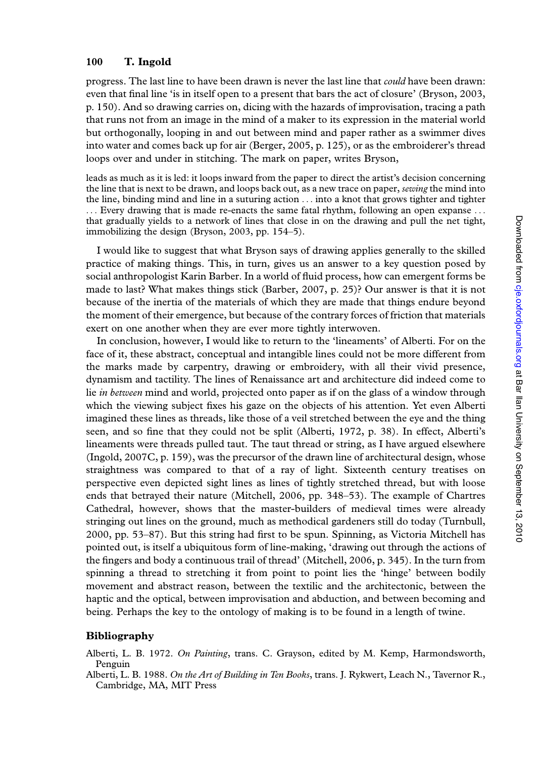progress. The last line to have been drawn is never the last line that *could* have been drawn: even that final line 'is in itself open to a present that bars the act of closure' (Bryson, 2003, p. 150). And so drawing carries on, dicing with the hazards of improvisation, tracing a path that runs not from an image in the mind of a maker to its expression in the material world but orthogonally, looping in and out between mind and paper rather as a swimmer dives into water and comes back up for air (Berger, 2005, p. 125), or as the embroiderer's thread loops over and under in stitching. The mark on paper, writes Bryson,

leads as much as it is led: it loops inward from the paper to direct the artist's decision concerning the line that is next to be drawn, and loops back out, as a new trace on paper, *sewing* the mind into the line, binding mind and line in a suturing action ... into a knot that grows tighter and tighter ... Every drawing that is made re-enacts the same fatal rhythm, following an open expanse ... that gradually yields to a network of lines that close in on the drawing and pull the net tight, immobilizing the design (Bryson, 2003, pp. 154–5).

I would like to suggest that what Bryson says of drawing applies generally to the skilled practice of making things. This, in turn, gives us an answer to a key question posed by social anthropologist Karin Barber. In a world of fluid process, how can emergent forms be made to last? What makes things stick (Barber, 2007, p. 25)? Our answer is that it is not because of the inertia of the materials of which they are made that things endure beyond the moment of their emergence, but because of the contrary forces of friction that materials exert on one another when they are ever more tightly interwoven.

In conclusion, however, I would like to return to the 'lineaments' of Alberti. For on the face of it, these abstract, conceptual and intangible lines could not be more different from the marks made by carpentry, drawing or embroidery, with all their vivid presence, dynamism and tactility. The lines of Renaissance art and architecture did indeed come to lie *in between* mind and world, projected onto paper as if on the glass of a window through which the viewing subject fixes his gaze on the objects of his attention. Yet even Alberti imagined these lines as threads, like those of a veil stretched between the eye and the thing seen, and so fine that they could not be split (Alberti, 1972, p. 38). In effect, Alberti's lineaments were threads pulled taut. The taut thread or string, as I have argued elsewhere (Ingold, 2007C, p. 159), was the precursor of the drawn line of architectural design, whose straightness was compared to that of a ray of light. Sixteenth century treatises on perspective even depicted sight lines as lines of tightly stretched thread, but with loose ends that betrayed their nature (Mitchell, 2006, pp. 348–53). The example of Chartres Cathedral, however, shows that the master-builders of medieval times were already stringing out lines on the ground, much as methodical gardeners still do today (Turnbull, 2000, pp. 53–87). But this string had first to be spun. Spinning, as Victoria Mitchell has pointed out, is itself a ubiquitous form of line-making, 'drawing out through the actions of the fingers and body a continuous trail of thread' (Mitchell, 2006, p. 345). In the turn from spinning a thread to stretching it from point to point lies the 'hinge' between bodily movement and abstract reason, between the textilic and the architectonic, between the haptic and the optical, between improvisation and abduction, and between becoming and being. Perhaps the key to the ontology of making is to be found in a length of twine.

# Bibliography

- Alberti, L. B. 1972. On Painting, trans. C. Grayson, edited by M. Kemp, Harmondsworth, Penguin
- Alberti, L. B. 1988. On the Art of Building in Ten Books, trans. J. Rykwert, Leach N., Tavernor R., Cambridge, MA, MIT Press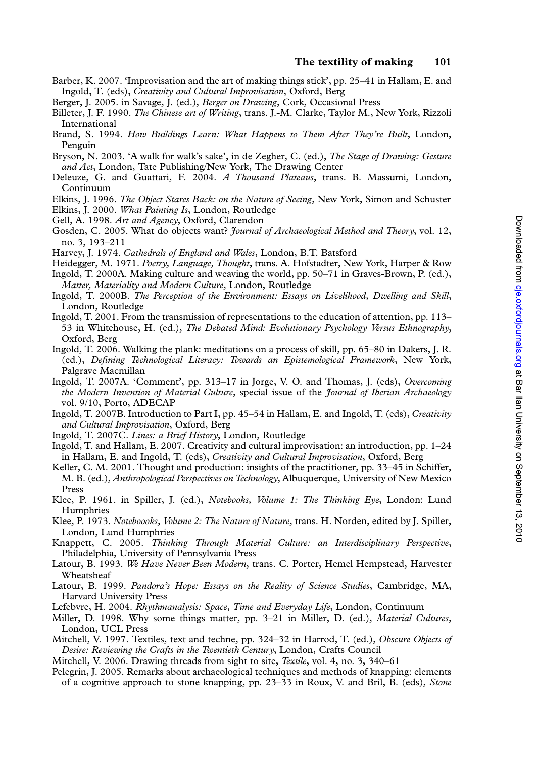- Barber, K. 2007. 'Improvisation and the art of making things stick', pp. 25–41 in Hallam, E. and Ingold, T. (eds), Creativity and Cultural Improvisation, Oxford, Berg
- Berger, J. 2005. in Savage, J. (ed.), Berger on Drawing, Cork, Occasional Press
- Billeter, J. F. 1990. The Chinese art of Writing, trans. J.-M. Clarke, Taylor M., New York, Rizzoli International
- Brand, S. 1994. How Buildings Learn: What Happens to Them After They're Built, London, Penguin
- Bryson, N. 2003. 'A walk for walk's sake', in de Zegher, C. (ed.), The Stage of Drawing: Gesture and Act, London, Tate Publishing/New York, The Drawing Center
- Deleuze, G. and Guattari, F. 2004. A Thousand Plateaus, trans. B. Massumi, London, Continuum
- Elkins, J. 1996. The Object Stares Back: on the Nature of Seeing, New York, Simon and Schuster
- Elkins, J. 2000. What Painting Is, London, Routledge
- Gell, A. 1998. Art and Agency, Oxford, Clarendon
- Gosden, C. 2005. What do objects want? *Journal of Archaeological Method and Theory*, vol. 12, no. 3, 193–211
- Harvey, J. 1974. Cathedrals of England and Wales, London, B.T. Batsford
- Heidegger, M. 1971. Poetry, Language, Thought, trans. A. Hofstadter, New York, Harper & Row Ingold, T. 2000A. Making culture and weaving the world, pp. 50–71 in Graves-Brown, P. (ed.), Matter, Materiality and Modern Culture, London, Routledge
- Ingold, T. 2000B. The Perception of the Environment: Essays on Livelihood, Dwelling and Skill, London, Routledge
- Ingold, T. 2001. From the transmission of representations to the education of attention, pp. 113– 53 in Whitehouse, H. (ed.), The Debated Mind: Evolutionary Psychology Versus Ethnography, Oxford, Berg
- Ingold, T. 2006. Walking the plank: meditations on a process of skill, pp. 65–80 in Dakers, J. R. (ed.), Defining Technological Literacy: Towards an Epistemological Framework, New York, Palgrave Macmillan
- Ingold, T. 2007A. 'Comment', pp. 313–17 in Jorge, V. O. and Thomas, J. (eds), Overcoming the Modern Invention of Material Culture, special issue of the Journal of Iberian Archaeology vol. 9/10, Porto, ADECAP
- Ingold, T. 2007B. Introduction to Part I, pp. 45–54 in Hallam, E. and Ingold, T. (eds), Creativity and Cultural Improvisation, Oxford, Berg
- Ingold, T. 2007C. Lines: a Brief History, London, Routledge
- Ingold, T. and Hallam, E. 2007. Creativity and cultural improvisation: an introduction, pp. 1–24 in Hallam, E. and Ingold, T. (eds), Creativity and Cultural Improvisation, Oxford, Berg
- Keller, C. M. 2001. Thought and production: insights of the practitioner, pp. 33–45 in Schiffer, M. B. (ed.), Anthropological Perspectives on Technology, Albuquerque, University of New Mexico Press
- Klee, P. 1961. in Spiller, J. (ed.), Notebooks, Volume 1: The Thinking Eye, London: Lund Humphries
- Klee, P. 1973. Noteboooks, Volume 2: The Nature of Nature, trans. H. Norden, edited by J. Spiller, London, Lund Humphries
- Knappett, C. 2005. Thinking Through Material Culture: an Interdisciplinary Perspective, Philadelphia, University of Pennsylvania Press
- Latour, B. 1993. We Have Never Been Modern, trans. C. Porter, Hemel Hempstead, Harvester Wheatsheaf
- Latour, B. 1999. Pandora's Hope: Essays on the Reality of Science Studies, Cambridge, MA, Harvard University Press
- Lefebvre, H. 2004. Rhythmanalysis: Space, Time and Everyday Life, London, Continuum
- Miller, D. 1998. Why some things matter, pp. 3–21 in Miller, D. (ed.), *Material Cultures*, London, UCL Press
- Mitchell, V. 1997. Textiles, text and techne, pp. 324–32 in Harrod, T. (ed.), Obscure Objects of Desire: Reviewing the Crafts in the Twentieth Century, London, Crafts Council
- Mitchell, V. 2006. Drawing threads from sight to site, Textile, vol. 4, no. 3, 340–61
- Pelegrin, J. 2005. Remarks about archaeological techniques and methods of knapping: elements of a cognitive approach to stone knapping, pp. 23–33 in Roux, V. and Bril, B. (eds), Stone